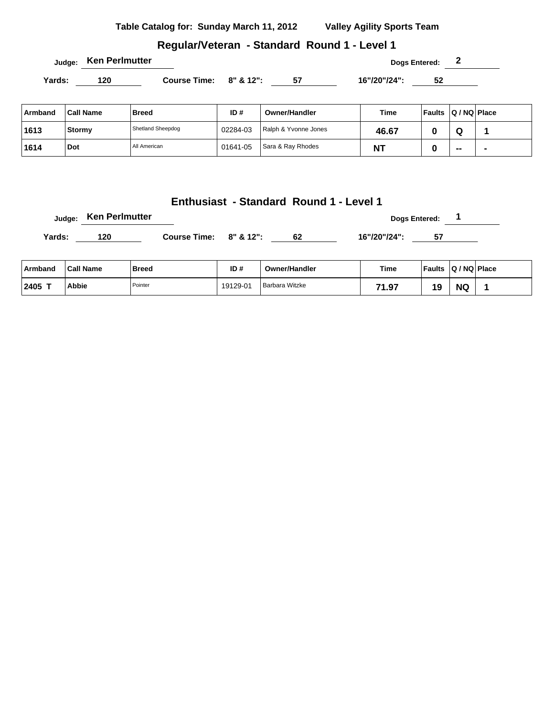| Table Catalog for: Sunday March 11, 2012 | <b>Valley Agility Sports Team</b> |
|------------------------------------------|-----------------------------------|
|                                          |                                   |

# **Regular/Veteran - Standard Round 1 - Level 1**

|         | <b>Ken Perlmutter</b><br>Judge: |                     |          |                      |              | Dogs Entered: 2         |    |   |
|---------|---------------------------------|---------------------|----------|----------------------|--------------|-------------------------|----|---|
| Yards:  | 120                             | <b>Course Time:</b> |          | $8" 8' 12"$ : 57     | 16"/20"/24": | 52                      |    |   |
| Armband | <b>Call Name</b>                | <b>Breed</b>        | ID#      | <b>Owner/Handler</b> | <b>Time</b>  | Faults   Q / NQ   Place |    |   |
| 1613    | Stormy                          | Shetland Sheepdog   | 02284-03 | Ralph & Yvonne Jones | 46.67        | 0                       | Q  | 1 |
| 1614    | Dot                             | All American        | 01641-05 | Sara & Ray Rhodes    | <b>NT</b>    | 0                       | -- |   |

|        | Judge: 1991 Communication |                     |           |    | Dogs Entered: |  |
|--------|---------------------------|---------------------|-----------|----|---------------|--|
| Yards: | 120                       | <b>Course Time:</b> | 8" & 12": | 62 | 16"/20"/24":  |  |

| ∣ Armband       | ˈCall Name | <b>Breed</b> | ID#      | <b>Owner/Handler</b> | Time       | <b>Faults</b> | Q / NQ Place |  |
|-----------------|------------|--------------|----------|----------------------|------------|---------------|--------------|--|
| $12405$ $^{-1}$ | Abbie      | Pointer      | 19129-01 | Barbara Witzke       | 74<br>1.97 | 19            | <b>NC</b>    |  |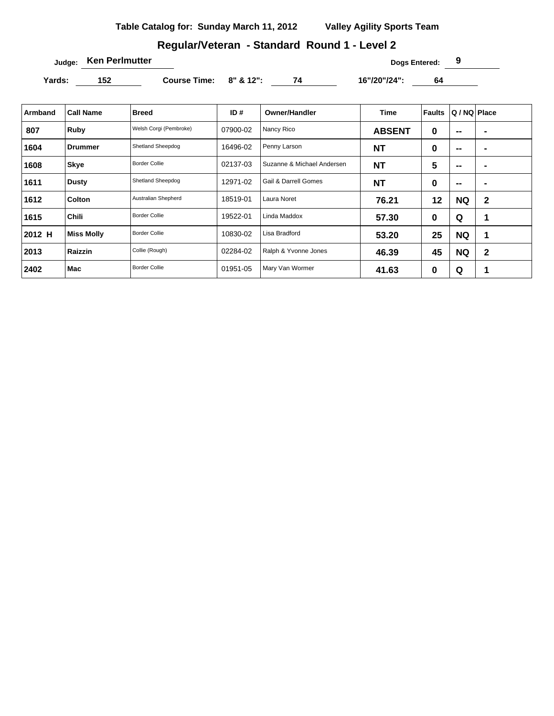## **Regular/Veteran - Standard Round 1 - Level 2**

**Judge: Ken Perlmutter Dogs Entered: 9** 

Yards: 152 **Course Time: 8" & 12":** 74 16"/20"/24": 64

| Armband | <b>Call Name</b>  | <b>Breed</b>           | ID#      | <b>Owner/Handler</b>            | Time          | Faults   | Q / NQ   Place           |                  |
|---------|-------------------|------------------------|----------|---------------------------------|---------------|----------|--------------------------|------------------|
| 807     | Ruby              | Welsh Corgi (Pembroke) | 07900-02 | Nancy Rico                      | <b>ABSENT</b> | $\bf{0}$ | --                       |                  |
| 1604    | <b>Drummer</b>    | Shetland Sheepdog      | 16496-02 | Penny Larson                    | <b>NT</b>     | 0        | $\overline{\phantom{a}}$ | $\blacksquare$   |
| 1608    | <b>Skye</b>       | <b>Border Collie</b>   | 02137-03 | Suzanne & Michael Andersen      | <b>NT</b>     | 5        | $\overline{\phantom{a}}$ |                  |
| 1611    | Dusty             | Shetland Sheepdog      | 12971-02 | <b>Gail &amp; Darrell Gomes</b> | <b>NT</b>     | 0        | $\overline{\phantom{a}}$ | $\blacksquare$   |
| 1612    | Colton            | Australian Shepherd    | 18519-01 | Laura Noret                     | 76.21         | 12       | <b>NQ</b>                | $\mathbf{2}$     |
| 1615    | <b>Chili</b>      | <b>Border Collie</b>   | 19522-01 | Linda Maddox                    | 57.30         | $\bf{0}$ | Q                        | 1                |
| 2012 H  | <b>Miss Molly</b> | <b>Border Collie</b>   | 10830-02 | Lisa Bradford                   | 53.20         | 25       | <b>NQ</b>                | 1                |
| 2013    | Raizzin           | Collie (Rough)         | 02284-02 | Ralph & Yvonne Jones            | 46.39         | 45       | <b>NQ</b>                | $\boldsymbol{2}$ |
| 2402    | Mac               | <b>Border Collie</b>   | 01951-05 | Mary Van Wormer                 | 41.63         | 0        | Q                        | $\mathbf 1$      |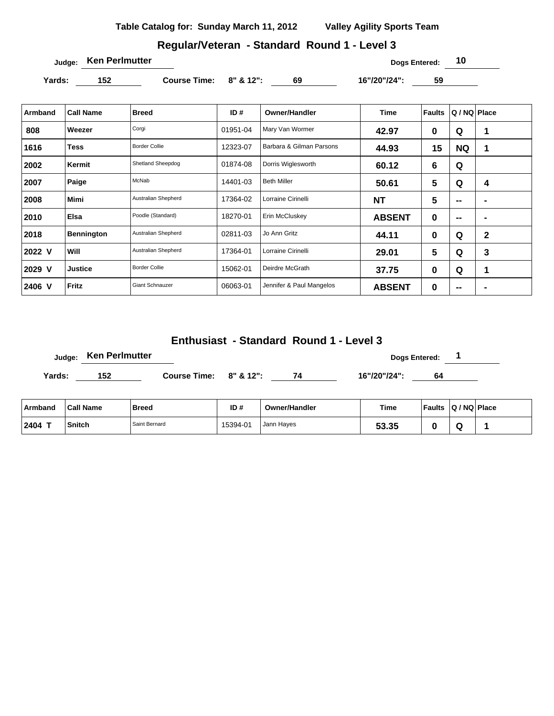# **Regular/Veteran - Standard Round 1 - Level 3**

**Judge: Ken Perlmutter 10** 

Yards: 152 **Course Time:** 8" & 12": 69 16"/20"/24": 59

| Armband | <b>Call Name</b>  | <b>Breed</b>           | ID#      | <b>Owner/Handler</b>     | <b>Time</b>   | <b>Faults</b>  | Q / NQ Place             |                          |
|---------|-------------------|------------------------|----------|--------------------------|---------------|----------------|--------------------------|--------------------------|
| 808     | Weezer            | Corgi                  | 01951-04 | Mary Van Wormer          | 42.97         | $\bf{0}$       | Q                        | 1                        |
| 1616    | <b>Tess</b>       | <b>Border Collie</b>   | 12323-07 | Barbara & Gilman Parsons | 44.93         | 15             | <b>NQ</b>                | 1                        |
| 2002    | Kermit            | Shetland Sheepdog      | 01874-08 | Dorris Wiglesworth       | 60.12         | 6              | Q                        |                          |
| 2007    | Paige             | McNab                  | 14401-03 | <b>Beth Miller</b>       | 50.61         | 5              | Q                        | 4                        |
| 2008    | <b>Mimi</b>       | Australian Shepherd    | 17364-02 | Lorraine Cirinelli       | <b>NT</b>     | $5\phantom{1}$ | --                       | $\overline{\phantom{a}}$ |
| 2010    | <b>Elsa</b>       | Poodle (Standard)      | 18270-01 | Erin McCluskey           | <b>ABSENT</b> | $\bf{0}$       | $\overline{\phantom{a}}$ | $\blacksquare$           |
| 2018    | <b>Bennington</b> | Australian Shepherd    | 02811-03 | Jo Ann Gritz             | 44.11         | $\bf{0}$       | Q                        | $\mathbf 2$              |
| 2022 V  | <b>Will</b>       | Australian Shepherd    | 17364-01 | Lorraine Cirinelli       | 29.01         | 5              | Q                        | 3                        |
| 2029 V  | <b>Justice</b>    | <b>Border Collie</b>   | 15062-01 | Deirdre McGrath          | 37.75         | 0              | Q                        | 1                        |
| 2406 V  | Fritz             | <b>Giant Schnauzer</b> | 06063-01 | Jennifer & Paul Mangelos | <b>ABSENT</b> | $\bf{0}$       | --                       |                          |

#### **Enthusiast - Standard Round 1 - Level 3**

|        | Judge: Ken Perlmutter |                        |  |    | Dogs Entered: |    |  |
|--------|-----------------------|------------------------|--|----|---------------|----|--|
| Yards: | 152                   | Course Time: 8" & 12": |  | 74 | 16"/20"/24":  | 64 |  |

| ⊺Armband  | <b>Call Name</b> | <b>Breed</b>  | ID#      | <b>Owner/Handler</b> | Time  | <b>Faults</b> | $ Q/NQ $ Place |  |
|-----------|------------------|---------------|----------|----------------------|-------|---------------|----------------|--|
| $12404$ T | <b>Snitch</b>    | Saint Bernard | 15394-01 | Jann Haves           | 53.35 |               |                |  |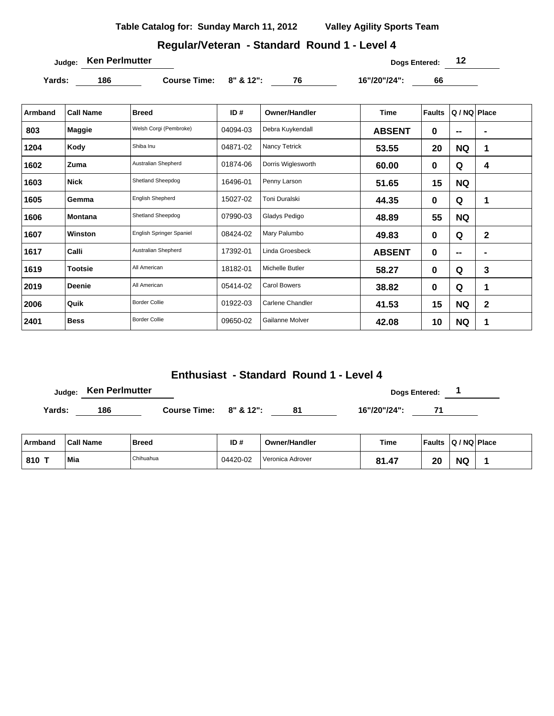### **Regular/Veteran - Standard Round 1 - Level 4**

**Judge: Ken Perlmutter 12** 

**Yards: 186 Course Time: 8" & 12": 76 16"/20"/24": 66** 

| Armband | <b>Call Name</b> | <b>Breed</b>                    | ID#      | Owner/Handler          | <b>Time</b>   | <b>Faults</b> | Q / NQ   Place           |             |
|---------|------------------|---------------------------------|----------|------------------------|---------------|---------------|--------------------------|-------------|
| 803     | <b>Maggie</b>    | Welsh Corgi (Pembroke)          | 04094-03 | Debra Kuykendall       | <b>ABSENT</b> | 0             | --                       |             |
| 1204    | Kody             | Shiba Inu                       | 04871-02 | Nancy Tetrick          | 53.55         | 20            | <b>NQ</b>                | 1           |
| 1602    | Zuma             | Australian Shepherd             | 01874-06 | Dorris Wiglesworth     | 60.00         | $\bf{0}$      | Q                        | 4           |
| 1603    | <b>Nick</b>      | Shetland Sheepdog               | 16496-01 | Penny Larson           | 51.65         | 15            | <b>NQ</b>                |             |
| 1605    | Gemma            | <b>English Shepherd</b>         | 15027-02 | <b>Toni Duralski</b>   | 44.35         | 0             | Q                        | 1           |
| 1606    | Montana          | Shetland Sheepdog               | 07990-03 | Gladys Pedigo          | 48.89         | 55            | <b>NQ</b>                |             |
| 1607    | Winston          | <b>English Springer Spaniel</b> | 08424-02 | Mary Palumbo           | 49.83         | $\bf{0}$      | Q                        | $\mathbf 2$ |
| 1617    | Calli            | <b>Australian Shepherd</b>      | 17392-01 | Linda Groesbeck        | <b>ABSENT</b> | $\bf{0}$      | $\overline{\phantom{a}}$ |             |
| 1619    | <b>Tootsie</b>   | All American                    | 18182-01 | <b>Michelle Butler</b> | 58.27         | 0             | Q                        | 3           |
| 2019    | <b>Deenie</b>    | All American                    | 05414-02 | <b>Carol Bowers</b>    | 38.82         | 0             | Q                        | 1           |
| 2006    | Quik             | <b>Border Collie</b>            | 01922-03 | Carlene Chandler       | 41.53         | 15            | <b>NQ</b>                | $\mathbf 2$ |
| 2401    | <b>Bess</b>      | <b>Border Collie</b>            | 09650-02 | Gailanne Molver        | 42.08         | 10            | <b>NQ</b>                | 1           |

## **Enthusiast - Standard Round 1 - Level 4**

**Judge:** Ken Perlmutter **Dogs Entered:** 1

Yards: 186 **Course Time: 8" & 12":** 81 16"/20"/24": 71

| Armband | <b>Call Name</b> | Breed     | ID#      | <b>Owner/Handler</b> | Time  | <b>Faults</b> | $ Q/NQ $ Place |  |
|---------|------------------|-----------|----------|----------------------|-------|---------------|----------------|--|
| 810     | Mia              | Chihuahua | 04420-02 | Veronica Adrover     | 81.47 | חר<br>Zu      | ΝC             |  |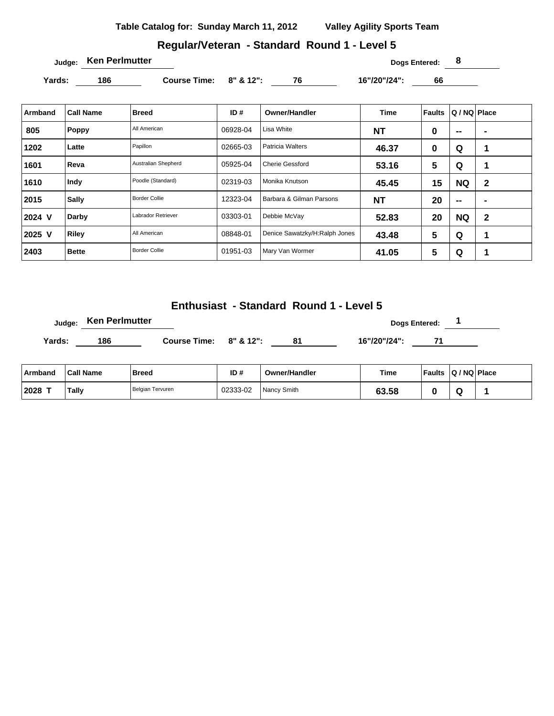# **Regular/Veteran - Standard Round 1 - Level 5**

**Judge: Ken Perlmutter 8** 

Yards: 186 **Course Time:** 8" & 12": 76 16"/20"/24": 66

| Armband | <b>Call Name</b> | <b>Breed</b>         | ID#      | <b>Owner/Handler</b>          | <b>Time</b> | <b>Faults</b>  | Q / NQ   Place           |                          |
|---------|------------------|----------------------|----------|-------------------------------|-------------|----------------|--------------------------|--------------------------|
| 805     | Poppy            | All American         | 06928-04 | Lisa White                    | <b>NT</b>   | 0              | $\overline{\phantom{a}}$ | $\blacksquare$           |
| 1202    | Latte            | Papillon             | 02665-03 | <b>Patricia Walters</b>       | 46.37       | 0              | Q                        | 1                        |
| 1601    | Reva             | Australian Shepherd  | 05925-04 | <b>Cherie Gessford</b>        | 53.16       | 5              | Q                        | 1                        |
| 1610    | Indy             | Poodle (Standard)    | 02319-03 | Monika Knutson                | 45.45       | 15             | <b>NQ</b>                | $\mathbf{2}$             |
| 2015    | <b>Sally</b>     | <b>Border Collie</b> | 12323-04 | Barbara & Gilman Parsons      | <b>NT</b>   | 20             | --                       | $\overline{\phantom{a}}$ |
| 2024 V  | Darby            | Labrador Retriever   | 03303-01 | Debbie McVay                  | 52.83       | 20             | <b>NQ</b>                | $\mathbf{2}$             |
| 2025 V  | Riley            | All American         | 08848-01 | Denice Sawatzky/H:Ralph Jones | 43.48       | 5              | Q                        | 1                        |
| 2403    | <b>Bette</b>     | <b>Border Collie</b> | 01951-03 | Mary Van Wormer               | 41.05       | $5\phantom{1}$ | Q                        | 1                        |

### **Enthusiast - Standard Round 1 - Level 5**

|        | Judge: Ken Perlmutter |                              |    | <b>Dogs Entered:</b> |  |  |  |
|--------|-----------------------|------------------------------|----|----------------------|--|--|--|
| Yards: | 186                   | Course Time: $8''$ & $12"$ : | 81 | 16"/20"/24":         |  |  |  |
|        |                       |                              |    |                      |  |  |  |

| ∣ Armband | <b>Call Name</b> | <b>Breed</b>     | ID#      | <b>Owner/Handler</b> | <b>Time</b>     | <b>Faults</b> | $ Q/NQ $ Place |  |
|-----------|------------------|------------------|----------|----------------------|-----------------|---------------|----------------|--|
| 2028      | Tally            | Belgian Tervuren | 02333-02 | Nancy Smith          | 3.58ه<br>$\sim$ |               |                |  |